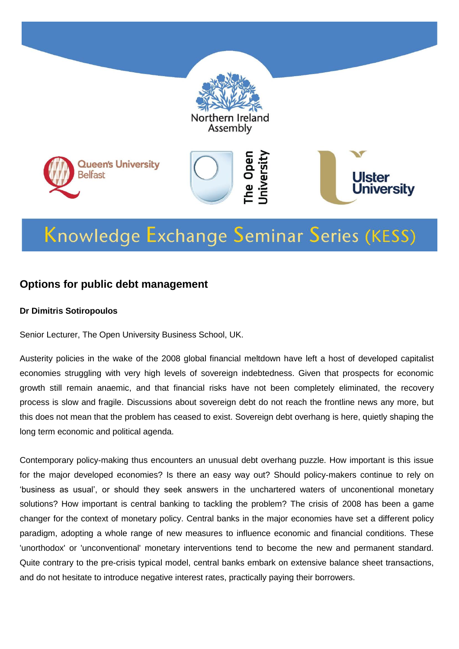

# Knowledge Exchange Seminar Series (KESS)

#### **Options for public debt management**

#### **Dr Dimitris Sotiropoulos**

Senior Lecturer, The Open University Business School, UK.

Austerity policies in the wake of the 2008 global financial meltdown have left a host of developed capitalist economies struggling with very high levels of sovereign indebtedness. Given that prospects for economic growth still remain anaemic, and that financial risks have not been completely eliminated, the recovery process is slow and fragile. Discussions about sovereign debt do not reach the frontline news any more, but this does not mean that the problem has ceased to exist. Sovereign debt overhang is here, quietly shaping the long term economic and political agenda.

Contemporary policy-making thus encounters an unusual debt overhang puzzle. How important is this issue for the major developed economies? Is there an easy way out? Should policy-makers continue to rely on 'business as usual', or should they seek answers in the unchartered waters of unconentional monetary solutions? How important is central banking to tackling the problem? The crisis of 2008 has been a game changer for the context of monetary policy. Central banks in the major economies have set a different policy paradigm, adopting a whole range of new measures to influence economic and financial conditions. These 'unorthodox' or 'unconventional' monetary interventions tend to become the new and permanent standard. Quite contrary to the pre-crisis typical model, central banks embark on extensive balance sheet transactions, and do not hesitate to introduce negative interest rates, practically paying their borrowers.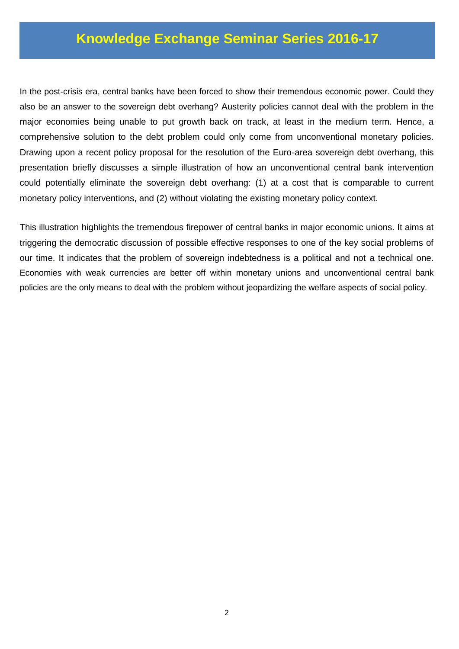### **Knowledge Exchange Seminar Series 2016-17**

In the post-crisis era, central banks have been forced to show their tremendous economic power. Could they also be an answer to the sovereign debt overhang? Austerity policies cannot deal with the problem in the major economies being unable to put growth back on track, at least in the medium term. Hence, a comprehensive solution to the debt problem could only come from unconventional monetary policies. Drawing upon a recent policy proposal for the resolution of the Euro-area sovereign debt overhang, this presentation briefly discusses a simple illustration of how an unconventional central bank intervention could potentially eliminate the sovereign debt overhang: (1) at a cost that is comparable to current monetary policy interventions, and (2) without violating the existing monetary policy context.

This illustration highlights the tremendous firepower of central banks in major economic unions. It aims at triggering the democratic discussion of possible effective responses to one of the key social problems of our time. It indicates that the problem of sovereign indebtedness is a political and not a technical one. Economies with weak currencies are better off within monetary unions and unconventional central bank policies are the only means to deal with the problem without jeopardizing the welfare aspects of social policy.